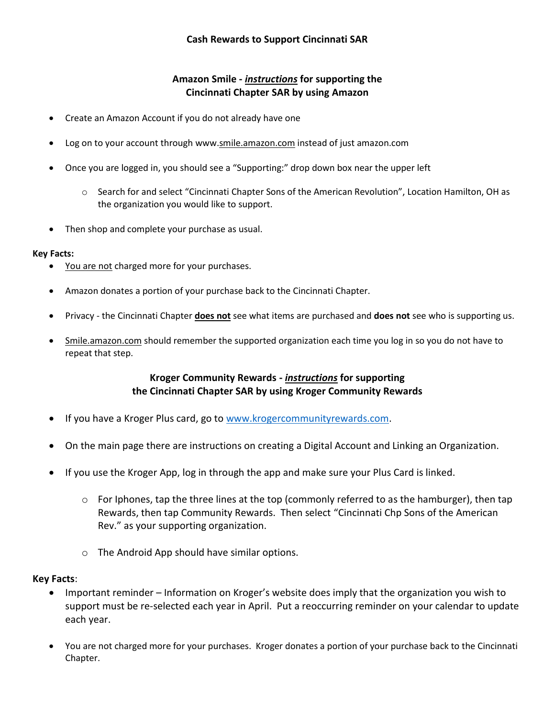## **Amazon Smile -** *instructions* **for supporting the Cincinnati Chapter SAR by using Amazon**

- Create an Amazon Account if you do not already have one
- Log on to your account through www.smile.amazon.com instead of just amazon.com
- Once you are logged in, you should see a "Supporting:" drop down box near the upper left
	- o Search for and select "Cincinnati Chapter Sons of the American Revolution", Location Hamilton, OH as the organization you would like to support.
- Then shop and complete your purchase as usual.

## **Key Facts:**

- You are not charged more for your purchases.
- Amazon donates a portion of your purchase back to the Cincinnati Chapter.
- Privacy the Cincinnati Chapter **does not** see what items are purchased and **does not** see who is supporting us.
- Smile.amazon.com should remember the supported organization each time you log in so you do not have to repeat that step.

## **Kroger Community Rewards -** *instructions* **for supporting the Cincinnati Chapter SAR by using Kroger Community Rewards**

- If you have a Kroger Plus card, go to [www.krogercommunityrewards.com.](http://www.krogercommunityrewards.com/)
- On the main page there are instructions on creating a Digital Account and Linking an Organization.
- If you use the Kroger App, log in through the app and make sure your Plus Card is linked.
	- $\circ$  For Iphones, tap the three lines at the top (commonly referred to as the hamburger), then tap Rewards, then tap Community Rewards. Then select "Cincinnati Chp Sons of the American Rev." as your supporting organization.
	- o The Android App should have similar options.

## **Key Facts**:

- Important reminder Information on Kroger's website does imply that the organization you wish to support must be re-selected each year in April. Put a reoccurring reminder on your calendar to update each year.
- You are not charged more for your purchases. Kroger donates a portion of your purchase back to the Cincinnati Chapter.